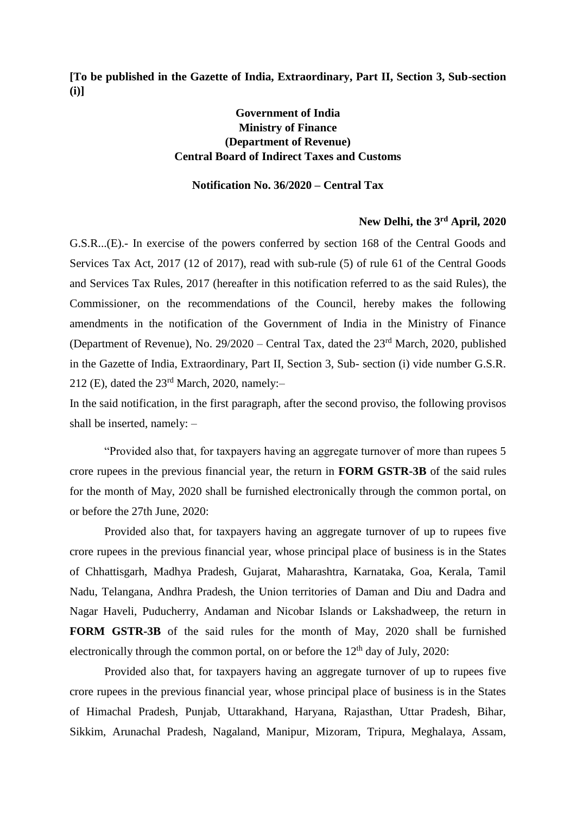**[To be published in the Gazette of India, Extraordinary, Part II, Section 3, Sub-section (i)]**

## **Government of India Ministry of Finance (Department of Revenue) Central Board of Indirect Taxes and Customs**

## **Notification No. 36/2020 – Central Tax**

## **New Delhi, the 3rd April, 2020**

G.S.R...(E).- In exercise of the powers conferred by section 168 of the Central Goods and Services Tax Act, 2017 (12 of 2017), read with sub-rule (5) of rule 61 of the Central Goods and Services Tax Rules, 2017 (hereafter in this notification referred to as the said Rules), the Commissioner, on the recommendations of the Council, hereby makes the following amendments in the notification of the Government of India in the Ministry of Finance (Department of Revenue), No.  $29/2020$  – Central Tax, dated the  $23<sup>rd</sup>$  March, 2020, published in the Gazette of India, Extraordinary, Part II, Section 3, Sub- section (i) vide number G.S.R. 212 (E), dated the  $23<sup>rd</sup>$  March, 2020, namely:-

In the said notification, in the first paragraph, after the second proviso, the following provisos shall be inserted, namely: –

"Provided also that, for taxpayers having an aggregate turnover of more than rupees 5 crore rupees in the previous financial year, the return in **FORM GSTR-3B** of the said rules for the month of May, 2020 shall be furnished electronically through the common portal, on or before the 27th June, 2020:

Provided also that, for taxpayers having an aggregate turnover of up to rupees five crore rupees in the previous financial year, whose principal place of business is in the States of Chhattisgarh, Madhya Pradesh, Gujarat, Maharashtra, Karnataka, Goa, Kerala, Tamil Nadu, Telangana, Andhra Pradesh, the Union territories of Daman and Diu and Dadra and Nagar Haveli, Puducherry, Andaman and Nicobar Islands or Lakshadweep, the return in **FORM GSTR-3B** of the said rules for the month of May, 2020 shall be furnished electronically through the common portal, on or before the  $12<sup>th</sup>$  day of July, 2020:

Provided also that, for taxpayers having an aggregate turnover of up to rupees five crore rupees in the previous financial year, whose principal place of business is in the States of Himachal Pradesh, Punjab, Uttarakhand, Haryana, Rajasthan, Uttar Pradesh, Bihar, Sikkim, Arunachal Pradesh, Nagaland, Manipur, Mizoram, Tripura, Meghalaya, Assam,